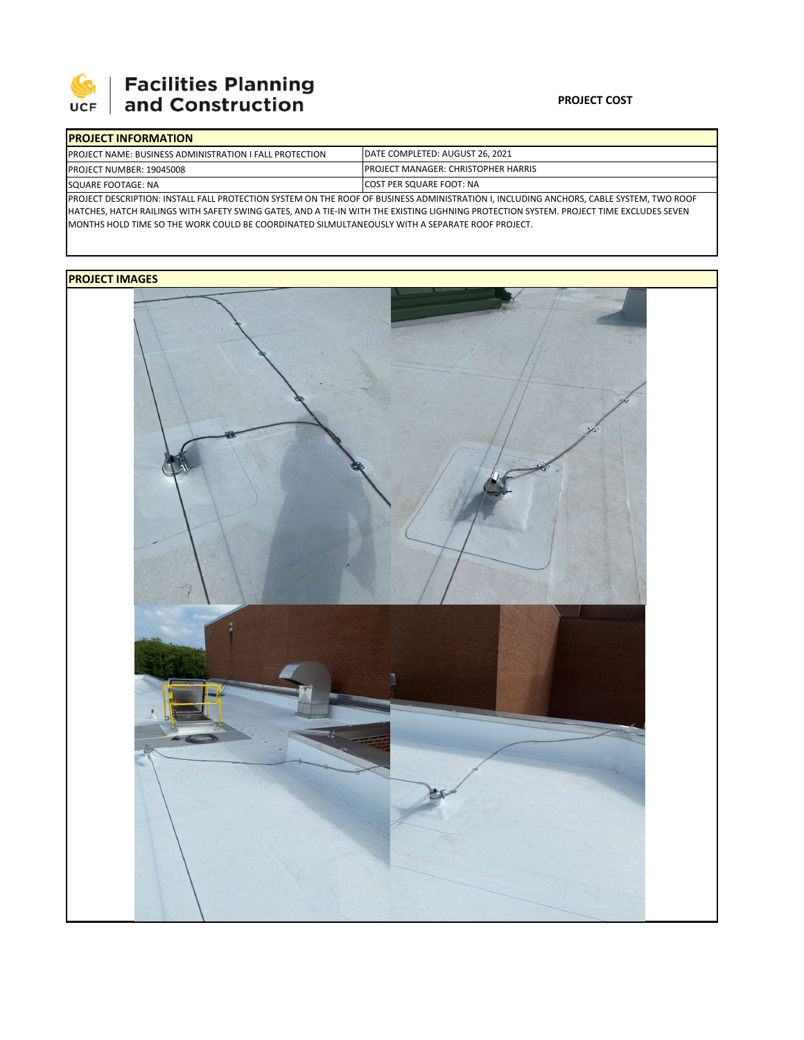

## **SEPTE AND Facilities Planning**<br>UCF and Construction

## **PROJECT COST**

| <b>IPROJECT INFORMATION</b>                                                                                                             |                                                                                |  |  |  |  |  |
|-----------------------------------------------------------------------------------------------------------------------------------------|--------------------------------------------------------------------------------|--|--|--|--|--|
| <b>IPROJECT NAME: BUSINESS ADMINISTRATION I FALL PROTECTION</b>                                                                         | <b>IDATE COMPLETED: AUGUST 26, 2021</b>                                        |  |  |  |  |  |
| <b>PROJECT NUMBER: 19045008</b>                                                                                                         | <b>PROJECT MANAGER: CHRISTOPHER HARRIS</b><br><b>ICOST PER SQUARE FOOT: NA</b> |  |  |  |  |  |
| SQUARE FOOTAGE: NA                                                                                                                      |                                                                                |  |  |  |  |  |
| PROJECT DESCRIPTION: INSTALL FALL PROTECTION SYSTEM ON THE ROOF OF BUSINESS ADMINISTRATION I, INCLUDING ANCHORS, CABLE SYSTEM, TWO ROOF |                                                                                |  |  |  |  |  |

HATCHES, HATCH RAILINGS WITH SAFETY SWING GATES, AND A TIE-IN WITH THE EXISTING LIGHNING PROTECTION SYSTEM. PROJECT TIME EXCLUDES SEVEN MONTHS HOLD TIME SO THE WORK COULD BE COORDINATED SILMULTANEOUSLY WITH A SEPARATE ROOF PROJECT.

## **PROJECT IMAGES**